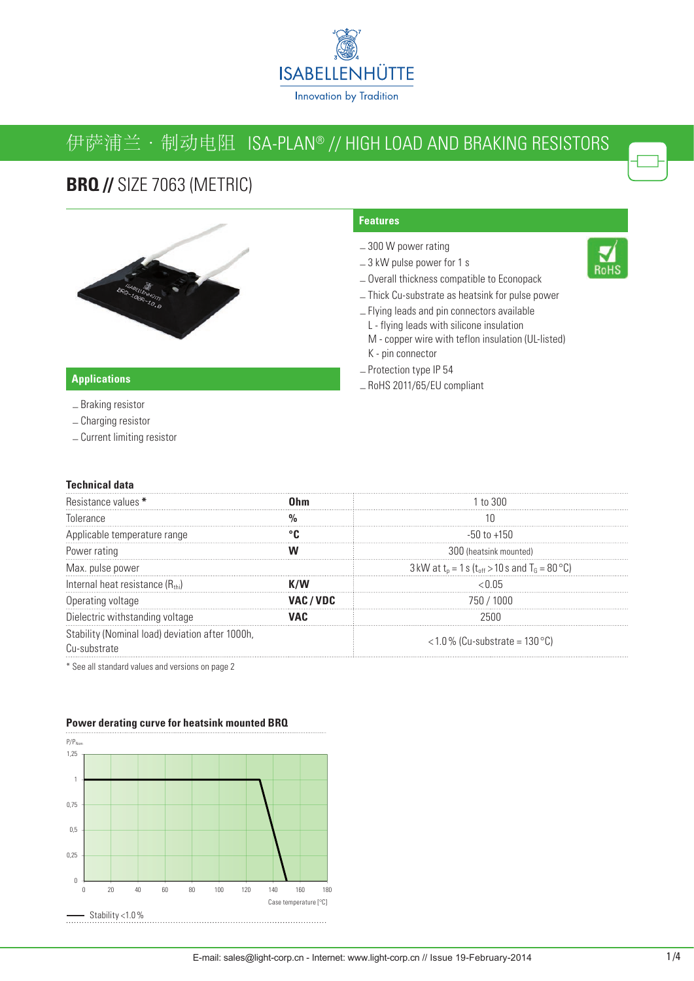

# 伊萨浦兰 · 制动电阻 ISA-PLAN® // HIGH LOAD AND BRAKING RESISTORS

## **BRQ // SIZE 7063 (METRIC)**



### **Features**

- 300 W power rating
- 3 kW pulse power for 1 s
- Overall thickness compatible to Econopack
- Thick Cu-substrate as heatsink for pulse power
- Flying leads and pin connectors available
	- L flying leads with silicone insulation
	- M copper wire with teflon insulation (UL-listed) K - pin connector
- Protection type IP 54
- RoHS 2011/65/EU compliant

### **Applications**

- Braking resistor
- Charging resistor
- Current limiting resistor

#### **Technical data**

| Resistance values *                                                   |         | 1 to 300                                                  |  |
|-----------------------------------------------------------------------|---------|-----------------------------------------------------------|--|
| Tolerance                                                             |         |                                                           |  |
| Applicable temperature range                                          |         | $-50$ to $+150$                                           |  |
| Power rating                                                          |         | 300 (heatsink mounted)                                    |  |
| Max. pulse power                                                      |         | 3 kW at $t_0 = 1$ s ( $t_{off} > 10$ s and $T_0 = 80$ °C) |  |
| Internal heat resistance (Rthi)                                       |         | ብ5                                                        |  |
| Operating voltage                                                     | VAC/VDC | 750 / 1000                                                |  |
| Dielectric withstanding voltage                                       |         | 7հՈՈ                                                      |  |
| Stability (Nominal load) deviation after 1000h,<br><b>M-substrate</b> |         | $<$ 1.0 % (Cu-substrate = 130 °C)                         |  |

\* See all standard values and versions on page 2

### $P/P_{\text{Norm}}$ 1,25 1 0,75 0,5 0,25  $\mathbf{0}$ 0 20 40 60 80 100 120 140 160 180 Case temperature [°C] Case temperature [°C] Stability <1.0%

#### **Power derating curve for heatsink mounted BRQ**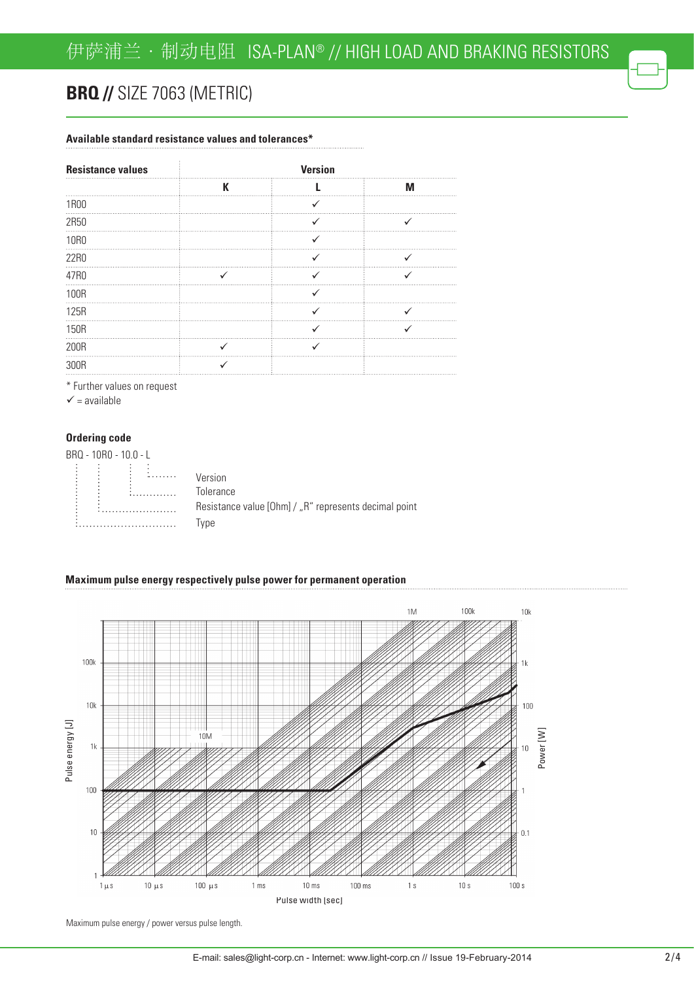# **BRQ // SIZE 7063 (METRIC)**

### **Available standard resistance values and tolerances\***

| <b>Resistance values</b> |   | <b>Version</b> |   |  |
|--------------------------|---|----------------|---|--|
|                          | К |                | М |  |
| 1R00                     |   |                |   |  |
| 2R50                     |   |                |   |  |
| <b>10R0</b>              |   |                |   |  |
| 22R0                     |   |                |   |  |
| 47R0                     |   |                |   |  |
| 100R                     |   |                |   |  |
| 125R                     |   |                |   |  |
| 150R                     |   |                |   |  |
| 200R                     |   |                |   |  |
| 300R                     |   |                |   |  |

\* Further values on request

 $\checkmark$  = available

#### **Ordering code**

| BRQ - 10R0 - 10.0 - L |                                                       |
|-----------------------|-------------------------------------------------------|
|                       |                                                       |
|                       | Version                                               |
|                       | Tolerance                                             |
|                       | Resistance value [Ohm] / "R" represents decimal point |
|                       | vpe                                                   |

#### **Maximum pulse energy respectively pulse power for permanent operation**



Maximum pulse energy / power versus pulse length.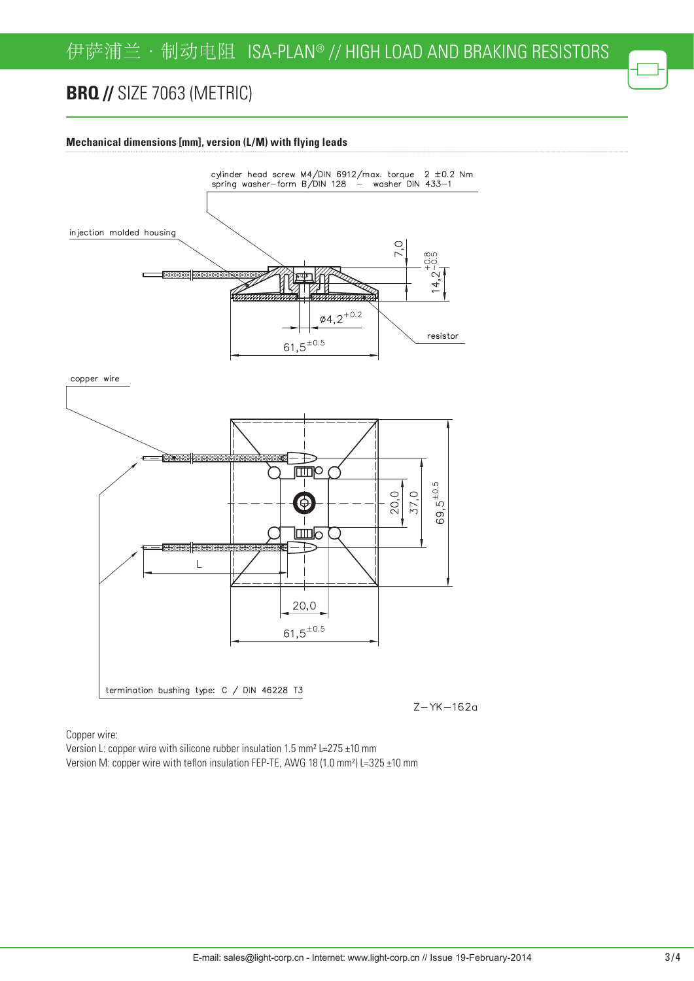# **BRQ // SIZE 7063 (METRIC)**

### **Mechanical dimensions [mm], version (L/M) with flying leads**



Copper wire:

Version L: copper wire with silicone rubber insulation 1.5 mm² L=275 ±10 mm Version M: copper wire with teflon insulation FEP-TE, AWG 18 (1.0 mm²) L=325 ±10 mm